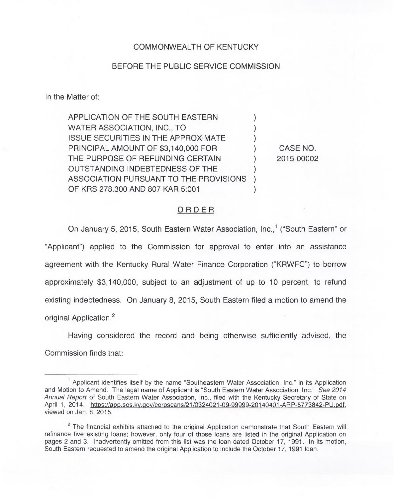## COMMONWEALTH OF KENTUCKY

## BEFORE THE PUBLIC SERVICE COMMISSION

In the Matter of:

APPLICATION OF THE SOUTH EASTERN WATER ASSOCIATION, INC., TO **ISSUE SECURITIES IN THE APPROXIMATE** PRINCIPAL AMOUNT OF \$3,140,000 FOR THE PURPOSE OF REFUNDING CERTAIN OUTSTANDING INDEBTEDNESS OF THE ) ASSOCIATION PURSUANT TO THE PROVISIONS ) OF KRS 278,300 AND 807 KAR 5:001 CASE NO. 2015-00002

## ORDER

On January 5, 2015, South Eastern Water Association, Inc.,<sup>1</sup> ("South Eastern" or "Applicant") applied to the Commission for approval to enter into an assistance agreement with the Kentucky Rural Water Finance Corporation ("KRWFC") to borrow approximately \$3,140,000, subject to an adjustment of up to 10 percent, to refund existing indebtedness. On January 8, 2015, South Eastern filed a motion to amend the original Application.

Having considered the record and being otherwise sufficiently advised, the Commission finds that:

 $<sup>1</sup>$  Applicant identifies itself by the name "Southeastern Water Association, Inc." in its Application</sup> and Motion to Amend. The legal name of Applicant is "South Eastern Water Association, Inc." See 2014 Annual Report of South Eastern Water Association, Inc., filed with the Kentucky Secretary of State on April 1, 2014. https://app.sos.kv.gov/corpscans/21/0324021-09-99999-20140401-ARP-5773842-PU.pdf, viewed on Jan. 8, 2015.

<sup>&</sup>lt;sup>2</sup> The financial exhibits attached to the original Application demonstrate that South Eastern will refinance five existing loans; however, only four of those loans are listed in the original Application on pages 2 and 3. Inadvertently omitted from this list was the loan dated October 17, 1991. In its motion, South Eastern requested to amend the original Application to include the October 17, 1991 loan.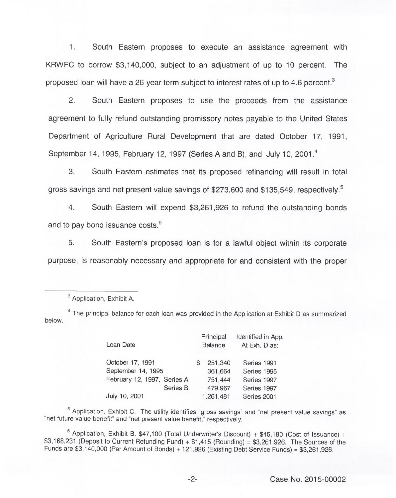1. South Eastern proposes to execute an assistance agreement with KRWFC to borrow \$3,140,000, subject to an adjustment of up to 10 percent. The proposed loan will have a 26-year term subject to interest rates of up to 4.6 percent.<sup>3</sup>

 $\overline{2}$ . South Eastern proposes to use the proceeds from the assistance agreement to fully refund outstanding promissory notes payable to the United States Department of Agriculture Rural Development that are dated October 17, 1991, September 14, 1995, February 12, 1997 (Series A and B), and July 10, 2001.<sup>4</sup>

3. South Eastern estimates that its proposed refinancing will result in total gross savings and net present value savings of \$273,600 and \$135,549, respectively.<sup>5</sup>

 $\overline{4}$ . South Eastern will expend \$3,261,926 to refund the outstanding bonds and to pay bond issuance costs.<sup>6</sup>

5. Eastern's proposed loan is for a lawful object within its corporate purpose, is reasonably necessary and appropriate for and consistent with the proper

below.  $4$  The principal balance for each loan was provided in the Application at Exhibit D as summarized

| Loan Date                   | Principal<br><b>Balance</b> | Identified in App.<br>At Exh. D as: |
|-----------------------------|-----------------------------|-------------------------------------|
| October 17, 1991            | 251,340                     | Series 1991                         |
| September 14, 1995          | 361,664                     | Series 1995                         |
| February 12, 1997, Series A | 751,444                     | Series 1997                         |
| Series B                    | 479,967                     | Series 1997                         |
| July 10, 2001               | 1,261,481                   | Series 2001                         |

 $5$  Application, Exhibit C. The utility identifies "gross savings" and "net present value savings" as "net future value benefit" and "net present value benefit," respectively.

 $6$  Application, Exhibit B. \$47,100 (Total Underwriter's Discount) + \$45,180 (Cost of Issuance) + \$3,168,231 (Deposit to Current Refunding Fund) + \$1,415 (Rounding) <sup>=</sup> \$3,261,926. The Sources of the Funds are \$3,140,000 (Par Amount of Bonds) + 121,926 (Existing Debt Service Funds) <sup>=</sup> \$3,261,926.

<sup>&</sup>lt;sup>3</sup> Application, Exhibit A.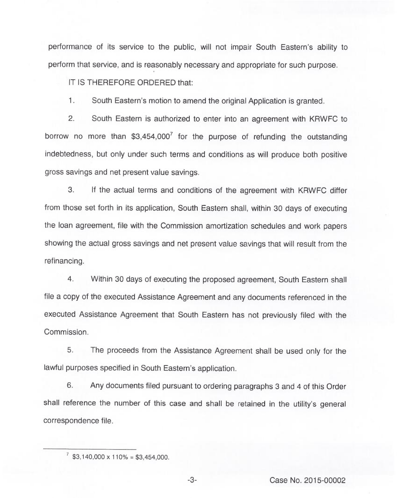performance of its service to the public, will not impair South Eastern's ability to perform that service, and is reasonably necessary and appropriate for such purpose.

IT IS THEREFORE ORDERED that:

1. South Eastern's motion to amend the original Application is granted.

2. South Eastern is authorized to enter into an agreement with KRWFC to borrow no more than  $$3,454,000^7$  for the purpose of refunding the outstanding indebtedness, but only under such terms and conditions as will produce both positive gross savings and net present value savings.

3. If the actual terms and conditions of the agreement with KRWFC differ from those set forth in its application, South Eastern shall, within 30 days of executing the loan agreement, file with the Commission amortization schedules and work papers showing the actual gross savings and net present value savings that will result from the refinancing.

4. Within 30 days of executing the proposed agreement, South Eastern shall file a copy of the executed Assistance Agreement and any documents referenced in the executed Assistance Agreement that South Eastern has not previously filed with the Commission.

5. The proceeds from the Assistance Agreement shall be used only for the lawful purposes specified in South Eastern's application.

6. Any documents filed pursuant to ordering paragraphs 3 and 4 of this Order shall reference the number of this case and shall be retained in the utility's general correspondence file.

 $\frac{7}{53,140,000 \times 110\%}$  = \$3,454,000.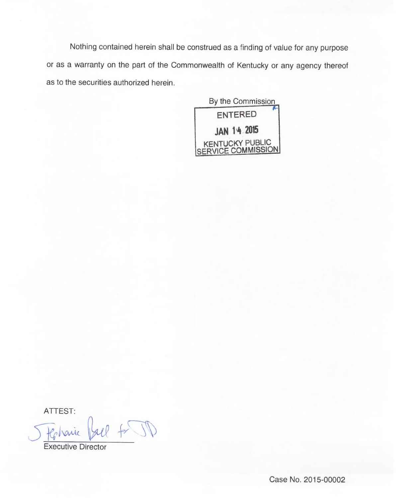Nothing contained herein shall be construed as a finding of value for any purpose or as a warranty on the part of the Commonwealth of Kentucky or any agency thereof as to the securities authorized herein.



ATTEST:

vaux

Executive Director